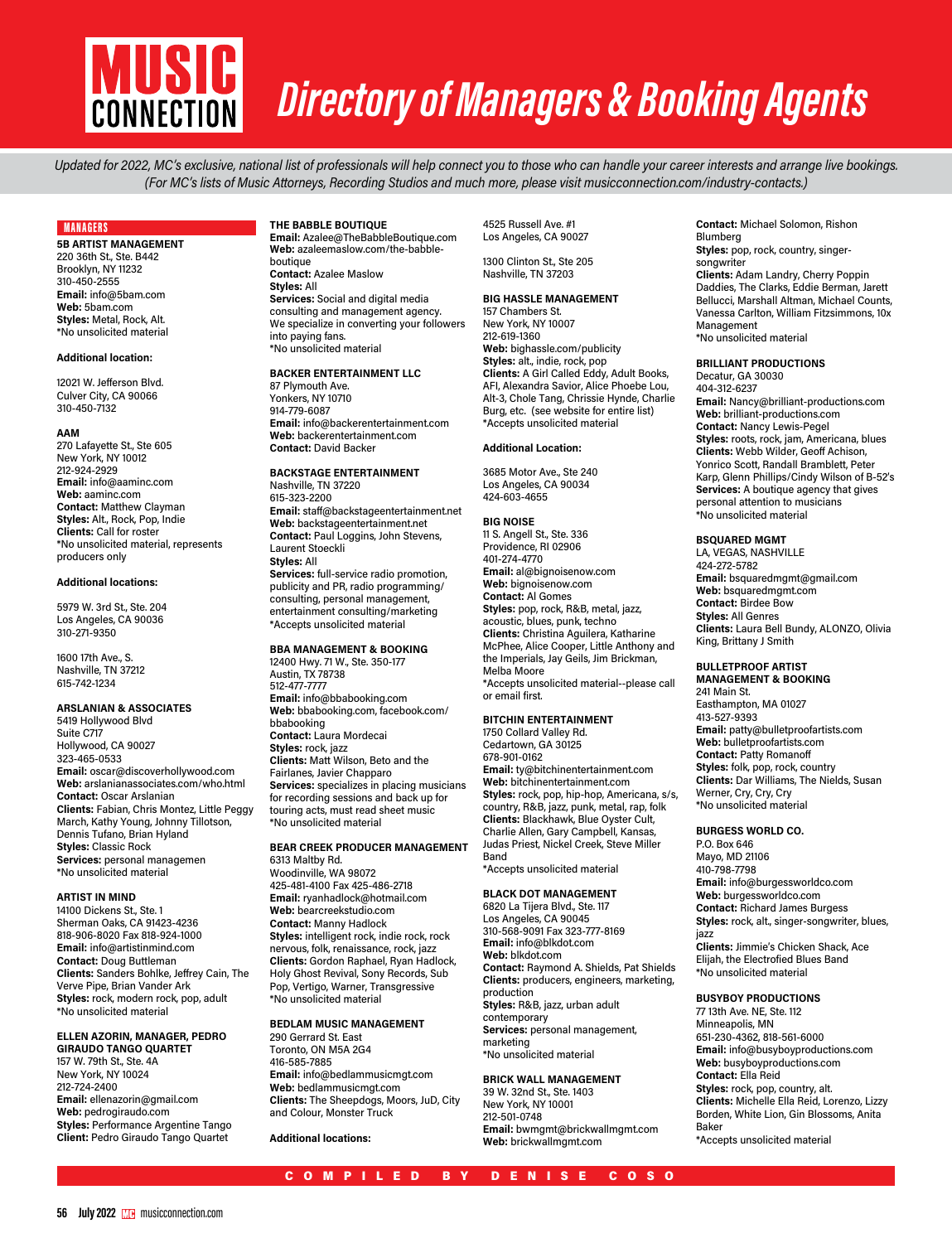

# *Directory of Managers & Booking Agents*

*Updated for 2022, MC's exclusive, national list of professionals will help connect you to those who can handle your career interests and arrange live bookings. (For MC's lists of Music Attorneys, Recording Studios and much more, please visit musicconnection.com/industry-contacts.)*

## MANAGERS

**5B ARTIST MANAGEMENT** 220 36th St., Ste. B442 Brooklyn, NY 11232 310-450-2555 **Email:** info@5bam.com **Web:** 5bam.com **Styles:** Metal, Rock, Alt. \*No unsolicited material

#### **Additional location:**

12021 W. Jefferson Blvd. Culver City, CA 90066 310-450-7132

#### **AAM**

270 Lafayette St., Ste 605 New York, NY 10012 212-924-2929 **Email:** info@aaminc.com **Web:** aaminc.com **Contact:** Matthew Clayman **Styles:** Alt., Rock, Pop, Indie **Clients:** Call for roster \*No unsolicited material, represents producers only

# **Additional locations:**

5979 W. 3rd St., Ste. 204 Los Angeles, CA 90036 310-271-9350

1600 17th Ave., S. Nashville, TN 37212 615-742-1234

#### **ARSLANIAN & ASSOCIATES**

5419 Hollywood Blvd Suite C717 Hollywood, CA 90027 323-465-0533 **Email:** oscar@discoverhollywood.com **Web:** arslanianassociates.com/who.html **Contact:** Oscar Arslanian **Clients:** Fabian, Chris Montez, Little Peggy March, Kathy Young, Johnny Tillotson, Dennis Tufano, Brian Hyland **Styles:** Classic Rock **Services:** personal managemen \*No unsolicited material

#### **ARTIST IN MIND**

14100 Dickens St., Ste. 1 Sherman Oaks, CA 91423-4236 818-906-8020 Fax 818-924-1000 **Email:** info@artistinmind.com **Contact:** Doug Buttleman **Clients:** Sanders Bohlke, Jeffrey Cain, The Verve Pipe, Brian Vander Ark **Styles:** rock, modern rock, pop, adult \*No unsolicited material

# **ELLEN AZORIN, MANAGER, PEDRO**

**GIRAUDO TANGO QUARTET** 157 W. 79th St., Ste. 4A New York, NY 10024 212-724-2400 **Email:** ellenazorin@gmail.com **Web:** pedrogiraudo.com **Styles:** Performance Argentine Tango **Client:** Pedro Giraudo Tango Quartet

# **THE BABBLE BOUTIQUE**

**Email:** Azalee@TheBabbleBoutique.com **Web:** azaleemaslow.com/the-babbleboutique **Contact:** Azalee Maslow **Styles:** All **Services:** Social and digital media consulting and management agency. We specialize in converting your followers into paying fans. \*No unsolicited material

#### **BACKER ENTERTAINMENT LLC**

87 Plymouth Ave. Yonkers, NY 10710 914-779-6087 **Email:** info@backerentertainment.com **Web:** backerentertainment.com **Contact:** David Backer

# **BACKSTAGE ENTERTAINMENT** Nashville, TN 37220

615-323-2200 **Email:** staff@backstageentertainment.net **Web:** backstageentertainment.net **Contact:** Paul Loggins, John Stevens, Laurent Stoeckli **Styles:** All **Services:** full-service radio promotion, publicity and PR, radio programming/ consulting, personal management,

entertainment consulting/marketing \*Accepts unsolicited material

# **BBA MANAGEMENT & BOOKING**

12400 Hwy. 71 W., Ste. 350-177 Austin, TX 78738 512-477-7777 **Email:** info@bbabooking.com **Web:** bbabooking.com, facebook.com/ bbabooking **Contact:** Laura Mordecai **Styles:** rock, jazz **Clients:** Matt Wilson, Beto and the Fairlanes, Javier Chapparo **Services:** specializes in placing musicians for recording sessions and back up for touring acts, must read sheet music \*No unsolicited material

# **BEAR CREEK PRODUCER MANAGEMENT**

6313 Maltby Rd. Woodinville, WA 98072 425-481-4100 Fax 425-486-2718 **Email:** ryanhadlock@hotmail.com **Web:** bearcreekstudio.com **Contact:** Manny Hadlock **Styles:** intelligent rock, indie rock, rock nervous, folk, renaissance, rock, jazz **Clients:** Gordon Raphael, Ryan Hadlock, Holy Ghost Revival, Sony Records, Sub Pop, Vertigo, Warner, Transgressive \*No unsolicited material

#### **BEDLAM MUSIC MANAGEMENT**

290 Gerrard St. East Toronto, ON M5A 2G4 416-585-7885 **Email:** info@bedlammusicmgt.com **Web:** bedlammusicmgt.com **Clients:** The Sheepdogs, Moors, JuD, City and Colour, Monster Truck

**Additional locations:**

4525 Russell Ave. #1 Los Angeles, CA 90027

# 1300 Clinton St., Ste 205 Nashville, TN 37203

**BIG HASSLE MANAGEMENT** 157 Chambers St. New York, NY 10007 212-619-1360 **Web:** bighassle.com/publicity **Styles:** alt., indie, rock, pop **Clients:** A Girl Called Eddy, Adult Books, AFI, Alexandra Savior, Alice Phoebe Lou, Alt-3, Chole Tang, Chrissie Hynde, Charlie Burg, etc. (see website for entire list) \*Accepts unsolicited material

# **Additional Location:**

3685 Motor Ave., Ste 240 Los Angeles, CA 90034 424-603-4655

#### **BIG NOISE**

11 S. Angell St., Ste. 336 Providence, RI 02906 401-274-4770 **Email:** al@bignoisenow.com **Web:** bignoisenow.com **Contact:** Al Gomes **Styles:** pop, rock, R&B, metal, jazz, acoustic, blues, punk, techno **Clients:** Christina Aguilera, Katharine McPhee, Alice Cooper, Little Anthony and the Imperials, Jay Geils, Jim Brickman, Melba Moore \*Accepts unsolicited material--please call or email first.

# **BITCHIN ENTERTAINMENT**

1750 Collard Valley Rd. Cedartown, GA 30125 678-901-0162 **Email:** ty@bitchinentertainment.com **Web:** bitchinentertainment.com **Styles:** rock, pop, hip-hop, Americana, s/s, country, R&B, jazz, punk, metal, rap, folk **Clients:** Blackhawk, Blue Oyster Cult, Charlie Allen, Gary Campbell, Kansas, Judas Priest, Nickel Creek, Steve Miller Band \*Accepts unsolicited material

#### **BLACK DOT MANAGEMENT**

6820 La Tijera Blvd., Ste. 117 Los Angeles, CA 90045 310-568-9091 Fax 323-777-8169 **Email:** info@blkdot.com **Web:** blkdot.com **Contact:** Raymond A. Shields, Pat Shields **Clients:** producers, engineers, marketing, production **Styles:** R&B, jazz, urban adult contemporary **Services:** personal management, marketing \*No unsolicited material

#### **BRICK WALL MANAGEMENT**

39 W. 32nd St., Ste. 1403 New York, NY 10001 212-501-0748 **Email:** bwmgmt@brickwallmgmt.com **Web:** brickwallmgmt.com

**Contact:** Michael Solomon, Rishon Blumberg **Styles: pop, rock, country, singer**songwriter **Clients:** Adam Landry, Cherry Poppin Daddies, The Clarks, Eddie Berman, Jarett Bellucci, Marshall Altman, Michael Counts, Vanessa Carlton, William Fitzsimmons, 10x Management \*No unsolicited material

# **BRILLIANT PRODUCTIONS**

Decatur, GA 30030 404-312-6237 **Email:** Nancy@brilliant-productions.com **Web:** brilliant-productions.com **Contact:** Nancy Lewis-Pegel **Styles:** roots, rock, jam, Americana, blues **Clients:** Webb Wilder, Geoff Achison, Yonrico Scott, Randall Bramblett, Peter Karp, Glenn Phillips/Cindy Wilson of B-52's **Services:** A boutique agency that gives personal attention to musicians \*No unsolicited material

#### **BSQUARED MGMT**

LA, VEGAS, NASHVILLE 424-272-5782 **Email:** bsquaredmgmt@gmail.com **Web:** bsquaredmgmt.com **Contact:** Birdee Bow **Styles:** All Genres **Clients:** Laura Bell Bundy, ALONZO, Olivia King, Brittany J Smith

## **BULLETPROOF ARTIST MANAGEMENT & BOOKING**

241 Main St. Easthampton, MA 01027 413-527-9393 **Email:** patty@bulletproofartists.com **Web:** bulletproofartists.com **Contact:** Patty Romanoff **Styles:** folk, pop, rock, country **Clients:** Dar Williams, The Nields, Susan Werner, Cry, Cry, Cry \*No unsolicited material

#### **BURGESS WORLD CO.**

P.O. Box 646 Mayo, MD 21106 410-798-7798 **Email:** info@burgessworldco.com **Web:** burgessworldco.com **Contact:** Richard James Burgess **Styles:** rock, alt., singer-songwriter, blues, jazz **Clients:** Jimmie's Chicken Shack, Ace Elijah, the Electrofied Blues Band

# \*No unsolicited material **BUSYBOY PRODUCTIONS**

77 13th Ave. NE, Ste. 112 Minneapolis, MN 651-230-4362, 818-561-6000 **Email:** info@busyboyproductions.com **Web:** busyboyproductions.com **Contact:** Ella Reid **Styles:** rock, pop, country, alt. **Clients:** Michelle Ella Reid, Lorenzo, Lizzy Borden, White Lion, Gin Blossoms, Anita Baker \*Accepts unsolicited material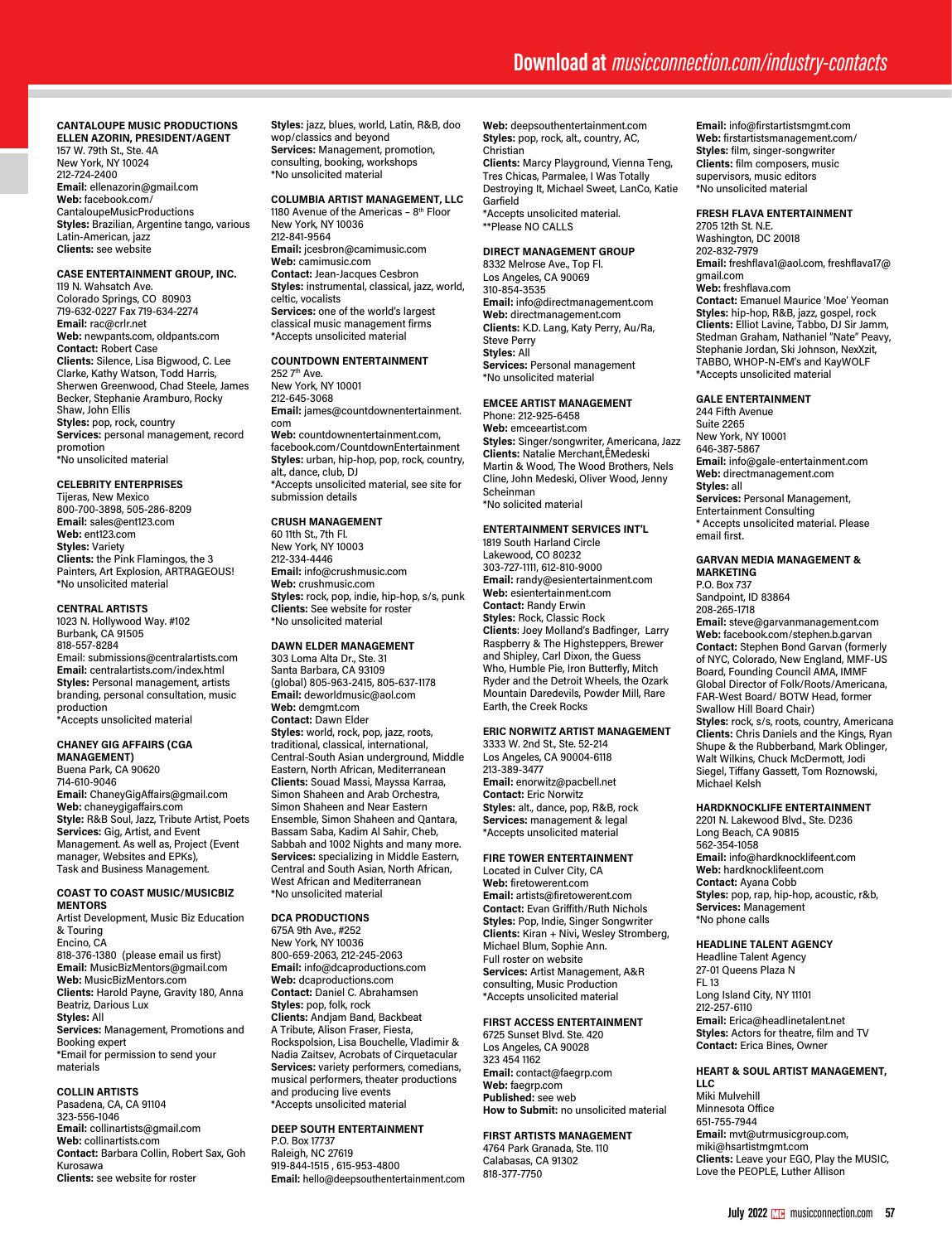# **CANTALOUPE MUSIC PRODUCTIONS ELLEN AZORIN, PRESIDENT/AGENT**

157 W. 79th St., Ste. 4A New York, NY 10024 212-724-2400 **Email:** ellenazorin@gmail.com **Web:** facebook.com/ CantaloupeMusicProductions **Styles:** Brazilian, Argentine tango, various Latin-American, jazz **Clients:** see website

# **CASE ENTERTAINMENT GROUP, INC.**

119 N. Wahsatch Ave. Colorado Springs, CO 80903 719-632-0227 Fax 719-634-2274 **Email:** rac@crlr.net **Web:** newpants.com, oldpants.com **Contact:** Robert Case **Clients:** Silence, Lisa Bigwood, C. Lee Clarke, Kathy Watson, Todd Harris, Sherwen Greenwood, Chad Steele, James Becker, Stephanie Aramburo, Rocky Shaw, John Ellis **Styles:** pop, rock, country **Services:** personal management, record promotion .<br>\*No unsolicited material

#### **CELEBRITY ENTERPRISES**

Tijeras, New Mexico 800-700-3898, 505-286-8209 **Email:** sales@ent123.com **Web:** ent123.com **Styles:** Variety **Clients:** the Pink Flamingos, the 3 Painters, Art Explosion, ARTRAGEOUS! \*No unsolicited material

#### **CENTRAL ARTISTS**

1023 N. Hollywood Way. #102 Burbank, CA 91505 818-557-8284 Email: submissions@centralartists.com **Email:** centralartists.com/index.html **Styles:** Personal management, artists branding, personal consultation, music production \*Accepts unsolicited material

#### **CHANEY GIG AFFAIRS (CGA MANAGEMENT)**

Buena Park, CA 90620 714-610-9046 **Email:** ChaneyGigAffairs@gmail.com **Web:** chaneygigaffairs.com **Style:** R&B Soul, Jazz, Tribute Artist, Poets **Services:** Gig, Artist, and Event Management. As well as, Project (Event manager, Websites and EPKs), Task and Business Management.

#### **COAST TO COAST MUSIC/MUSICBIZ MENTORS**

Artist Development, Music Biz Education & Touring Encino, CA 818-376-1380 (please email us first) **Email:** MusicBizMentors@gmail.com **Web:** MusicBizMentors.com **Clients:** Harold Payne, Gravity 180, Anna Beatriz, Darious Lux **Styles:** All **Services:** Management, Promotions and Booking expert \*Email for permission to send your materials

# **COLLIN ARTISTS**

Pasadena, CA, CA 91104 323-556-1046 **Email:** collinartists@gmail.com **Web:** collinartists.com **Contact:** Barbara Collin, Robert Sax, Goh Kurosawa **Clients:** see website for roster

**Styles:** jazz, blues, world, Latin, R&B, doo wop/classics and beyond **Services:** Management, promotion, consulting, booking, workshops \*No unsolicited material

# **COLUMBIA ARTIST MANAGEMENT, LLC**

1180 Avenue of the Americas - 8<sup>th</sup> Floor New York, NY 10036 212-841-9564 **Email:** jcesbron@camimusic.com **Web:** camimusic.com **Contact:** Jean-Jacques Cesbron **Styles:** instrumental, classical, jazz, world, celtic, vocalists **Services:** one of the world's largest classical music management firms \*Accepts unsolicited material

# **COUNTDOWN ENTERTAINMENT**

252 7th Ave. New York, NY 10001 212-645-3068 **Email:** james@countdownentertainment. com **Web:** countdownentertainment.com, facebook.com/CountdownEntertainment **Styles:** urban, hip-hop, pop, rock, country, alt., dance, club, DJ \*Accepts unsolicited material, see site for submission details

# **CRUSH MANAGEMENT**

60 11th St., 7th Fl. New York, NY 10003 212-334-4446 **Email:** info@crushmusic.com **Web:** crushmusic.com **Styles:** rock, pop, indie, hip-hop, s/s, punk **Clients:** See website for roster \*No unsolicited material

# **DAWN ELDER MANAGEMENT**

303 Loma Alta Dr., Ste. 31 Santa Barbara, CA 93109 (global) 805-963-2415, 805-637-1178 **Email:** deworldmusic@aol.com **Web:** demgmt.com **Contact:** Dawn Elder **Styles:** world, rock, pop, jazz, roots, traditional, classical, international, Central-South Asian underground, Middle Eastern, North African, Mediterranean **Clients:** Souad Massi, Mayssa Karraa, Simon Shaheen and Arab Orchestra, Simon Shaheen and Near Eastern Ensemble, Simon Shaheen and Qantara, Bassam Saba, Kadim Al Sahir, Cheb, Sabbah and 1002 Nights and many more. **Services:** specializing in Middle Eastern, Central and South Asian, North African, West African and Mediterranean \*No unsolicited material

#### **DCA PRODUCTIONS**

675A 9th Ave., #252 New York, NY 10036 800-659-2063, 212-245-2063 **Email:** info@dcaproductions.com **Web:** dcaproductions.com **Contact:** Daniel C. Abrahamsen **Styles:** pop, folk, rock **Clients:** Andjam Band, Backbeat A Tribute, Alison Fraser, Fiesta, Rockspolsion, Lisa Bouchelle, Vladimir & Nadia Zaitsev, Acrobats of Cirquetacular **Services:** variety performers, comedians, musical performers, theater productions and producing live events \*Accepts unsolicited material

#### **DEEP SOUTH ENTERTAINMENT** P.O. Box 17737

Raleigh, NC 27619 919-844-1515 , 615-953-4800 **Email:** hello@deepsouthentertainment.com **Web:** deepsouthentertainment.com **Styles:** pop, rock, alt., country, AC, Christian **Clients:** Marcy Playground, Vienna Teng, Tres Chicas, Parmalee, I Was Totally

Destroying It, Michael Sweet, LanCo, Katie Garfield \*Accepts unsolicited material.

# \*\*Please NO CALLS

**DIRECT MANAGEMENT GROUP**  8332 Melrose Ave., Top Fl. Los Angeles, CA 90069 310-854-3535 **Email:** info@directmanagement.com **Web:** directmanagement.com **Clients:** K.D. Lang, Katy Perry, Au/Ra, Steve Perry **Styles:** All **Services:** Personal management \*No unsolicited material

#### **EMCEE ARTIST MANAGEMENT**

Phone: 212-925-6458 Web: emceeartist.com **Styles:** Singer/songwriter, Americana, Jazz **Clients:** Natalie Merchant,ÊMedeski Martin & Wood, The Wood Brothers, Nels Cline, John Medeski, Oliver Wood, Jenny Scheinman \*No solicited material

#### **ENTERTAINMENT SERVICES INT'L**

1819 South Harland Circle Lakewood, CO 80232 303-727-1111, 612-810-9000 **Email:** randy@esientertainment.com **Web:** esientertainment.com **Contact:** Randy Erwin **Styles:** Rock, Classic Rock **Clients**: Joey Molland's Badfinger, Larry Raspberry & The Highsteppers, Brewer and Shipley, Carl Dixon, the Guess Who, Humble Pie, Iron Butterfly, Mitch Ryder and the Detroit Wheels, the Ozark Mountain Daredevils, Powder Mill, Rare Earth, the Creek Rocks

## **ERIC NORWITZ ARTIST MANAGEMENT**

3333 W. 2nd St., Ste. 52-214 Los Angeles, CA 90004-6118 213-389-3477 **Email:** enorwitz@pacbell.net **Contact:** Eric Norwitz **Styles:** alt., dance, pop, R&B, rock **Services:** management & legal \*Accepts unsolicited material

# **FIRE TOWER ENTERTAINMENT**

Located in Culver City, CA **Web:** firetowerent.com **Email:** artists@firetowerent.com **Contact:** Evan Griffith/Ruth Nichols **Styles:** Pop, Indie, Singer Songwriter **Clients:** Kiran + Nivi**,** Wesley Stromberg, Michael Blum, Sophie Ann. Full roster on website **Services:** Artist Management, A&R consulting, Music Production \*Accepts unsolicited material

#### **FIRST ACCESS ENTERTAINMENT**

6725 Sunset Blvd. Ste. 420 Los Angeles, CA 90028 323 454 1162 **Email:** contact@faegrp.com **Web:** faegrp.com **Published:** see web **How to Submit:** no unsolicited material

# **FIRST ARTISTS MANAGEMENT**

4764 Park Granada, Ste. 110 Calabasas, CA 91302 818-377-7750

**Email:** info@firstartistsmgmt.com **Web:** firstartistsmanagement.com/ **Styles:** film, singer-songwriter **Clients:** film composers, music supervisors, music editors \*No unsolicited material

## **FRESH FLAVA ENTERTAINMENT**

2705 12th St. N.E. Washington, DC 20018 202-832-7979 **Email:** freshflava1@aol.com, freshflava17@ gmail.com **Web:** freshflava.com **Contact:** Emanuel Maurice 'Moe' Yeoman **Styles:** hip-hop, R&B, jazz, gospel, rock **Clients:** Elliot Lavine, Tabbo, DJ Sir Jamm, Stedman Graham, Nathaniel "Nate" Peavy, Stephanie Jordan, Ski Johnson, NexXzit, TABBO, WHOP-N-EM's and KayWOLF \*Accepts unsolicited material

# **GALE ENTERTAINMENT**

244 Fifth Avenue Suite 2265 New York, NY 10001 646-387-5867 **Email:** info@gale-entertainment.com **Web:** directmanagement.com **Styles:** all **Services:** Personal Management, Entertainment Consulting \* Accepts unsolicited material. Please email first.

#### **GARVAN MEDIA MANAGEMENT & MARKETING**

P.O. Box 737 Sandpoint, ID 83864 208-265-1718 **Email:** steve@garvanmanagement.com **Web:** facebook.com/stephen.b.garvan **Contact:** Stephen Bond Garvan (formerly of NYC, Colorado, New England, MMF-US Board, Founding Council AMA, IMMF Global Director of Folk/Roots/Americana, FAR-West Board/ BOTW Head, former Swallow Hill Board Chair) **Styles:** rock, s/s, roots, country, Americana

**Clients:** Chris Daniels and the Kings, Ryan Shupe & the Rubberband, Mark Oblinger, Walt Wilkins, Chuck McDermott, Jodi Siegel, Tiffany Gassett, Tom Roznowski, Michael Kelsh

# **HARDKNOCKLIFE ENTERTAINMENT**

2201 N. Lakewood Blvd., Ste. D236 Long Beach, CA 90815 562-354-1058 **Email:** info@hardknocklifeent.com **Web:** hardknocklifeent.com **Contact:** Ayana Cobb **Styles:** pop, rap, hip-hop, acoustic, r&b, **Services:** Management \*No phone calls

#### **HEADLINE TALENT AGENCY**

Headline Talent Agency 27-01 Queens Plaza N FL 13 Long Island City, NY 11101 212-257-6110 **Email:** Erica@headlinetalent.net **Styles:** Actors for theatre, film and TV **Contact:** Erica Bines, Owner

# **HEART & SOUL ARTIST MANAGEMENT,**

**LLC** Miki Mulvehill Minnesota Office 651-755-7944 **Email:** mvt@utrmusicgroup.com, miki@hsartistmgmt.com **Clients:** Leave your EGO, Play the MUSIC, Love the PEOPLE, Luther Allison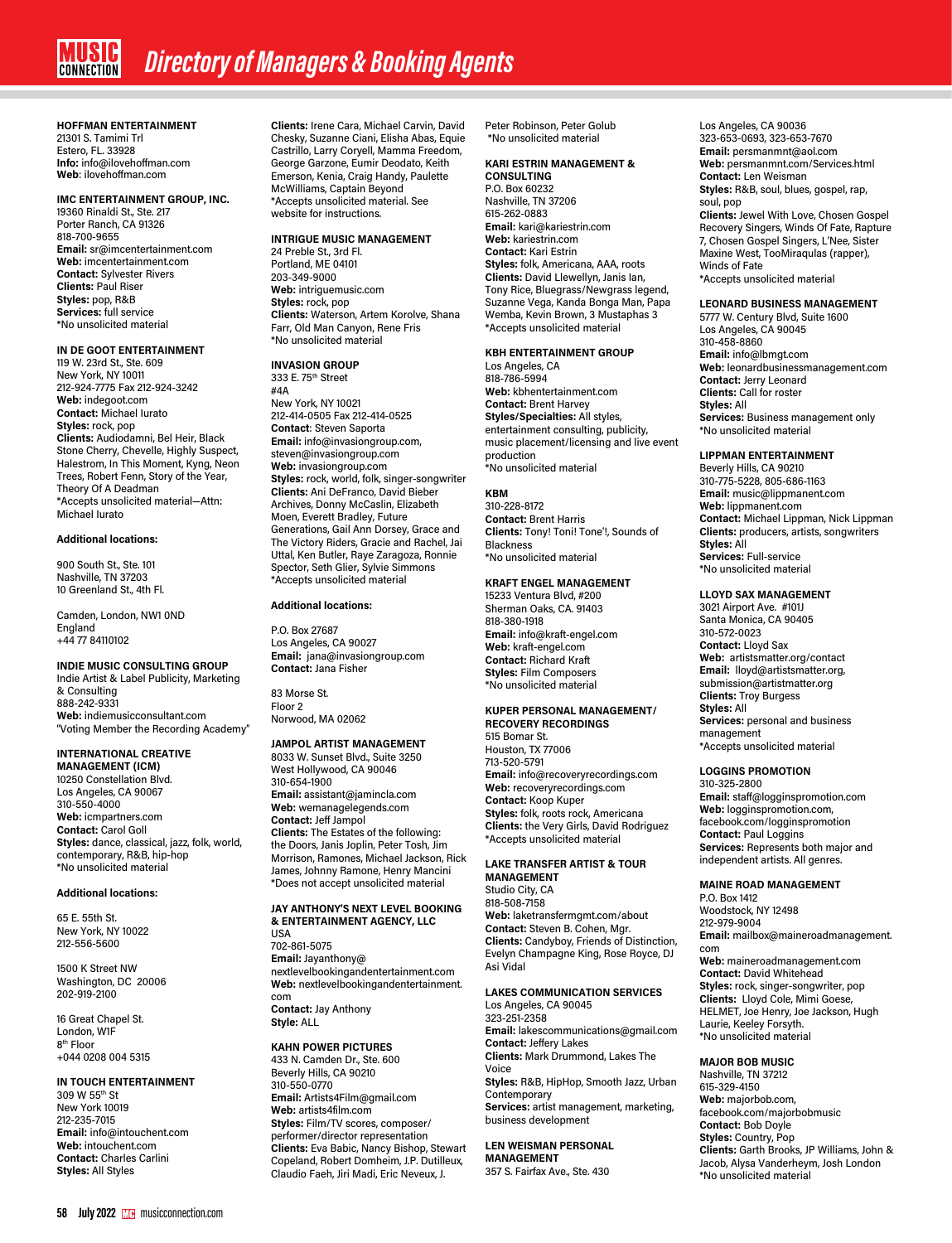# **HOFFMAN ENTERTAINMENT**

21301 S. Tamimi Trl Estero, FL. 33928 **Info:** info@ilovehoffman.com **Web**: ilovehoffman.com

# **IMC ENTERTAINMENT GROUP, INC.**

19360 Rinaldi St., Ste. 217 Porter Ranch, CA 91326 818-700-9655 **Email:** sr@imcentertainment.com **Web:** imcentertainment.com **Contact:** Sylvester Rivers **Clients:** Paul Riser **Styles:** pop, R&B **Services:** full service \*No unsolicited material

# **IN DE GOOT ENTERTAINMENT**

119 W. 23rd St., Ste. 609 New York, NY 10011 212-924-7775 Fax 212-924-3242 **Web:** indegoot.com **Contact:** Michael Iurato **Styles:** rock, pop **Clients:** Audiodamni, Bel Heir, Black Stone Cherry, Chevelle, Highly Suspect, Halestrom, In This Moment, Kyng, Neon Trees, Robert Fenn, Story of the Year, Theory Of A Deadman \*Accepts unsolicited material—Attn: Michael Iurato

# **Additional locations:**

900 South St., Ste. 101 Nashville, TN 37203 10 Greenland St., 4th Fl.

Camden, London, NW1 0ND England +44 77 84110102

#### **INDIE MUSIC CONSULTING GROUP**

Indie Artist & Label Publicity, Marketing & Consulting 888-242-9331 **Web:** indiemusicconsultant.com "Voting Member the Recording Academy"

# **INTERNATIONAL CREATIVE**

**MANAGEMENT (ICM)** 10250 Constellation Blvd. Los Angeles, CA 90067 310-550-4000 **Web:** icmpartners.com **Contact:** Carol Goll **Styles:** dance, classical, jazz, folk, world, contemporary, R&B, hip-hop \*No unsolicited material

#### **Additional locations:**

65 E. 55th St. New York, NY 10022 212-556-5600

1500 K Street NW Washington, DC 20006 202-919-2100

16 Great Chapel St. London, W1F 8th Floor +044 0208 004 5315

#### **IN TOUCH ENTERTAINMENT**

309 W 55th St New York 10019 212-235-7015 **Email:** info@intouchent.com **Web:** intouchent.com **Contact:** Charles Carlini **Styles:** All Styles

**Clients:** Irene Cara, Michael Carvin, David Chesky, Suzanne Ciani, Elisha Abas, Equie Castrillo, Larry Coryell, Mamma Freedom, George Garzone, Eumir Deodato, Keith Emerson, Kenia, Craig Handy, Paulette McWilliams, Captain Beyond \*Accepts unsolicited material. See website for instructions.

# **INTRIGUE MUSIC MANAGEMENT**

24 Preble St., 3rd Fl. Portland, ME 04101 203-349-9000 **Web:** intriguemusic.com **Styles:** rock, pop **Clients:** Waterson, Artem Korolve, Shana Farr, Old Man Canyon, Rene Fris \*No unsolicited material

# **INVASION GROUP**

333 E. 75th Street #4A New York, NY 10021 212-414-0505 Fax 212-414-0525 **Contact**: Steven Saporta **Email:** info@invasiongroup.com, steven@invasiongroup.com **Web:** invasiongroup.com **Styles:** rock, world, folk, singer-songwriter **Clients:** Ani DeFranco, David Bieber Archives, Donny McCaslin, Elizabeth Moen, Everett Bradley, Future Generations, Gail Ann Dorsey, Grace and The Victory Riders, Gracie and Rachel, Jai Uttal, Ken Butler, Raye Zaragoza, Ronnie Spector, Seth Glier, Sylvie Simmons \*Accepts unsolicited material

# **Additional locations:**

P.O. Box 27687 Los Angeles, CA 90027 **Email:** jana@invasiongroup.com **Contact:** Jana Fisher

83 Morse St. Floor 2 Norwood, MA 02062

# **JAMPOL ARTIST MANAGEMENT**

8033 W. Sunset Blvd., Suite 3250 West Hollywood, CA 90046 310-654-1900 **Email:** assistant@jamincla.com **Web:** wemanagelegends.com **Contact:** Jeff Jampol **Clients:** The Estates of the following: the Doors, Janis Joplin, Peter Tosh, Jim Morrison, Ramones, Michael Jackson, Rick James, Johnny Ramone, Henry Mancini \*Does not accept unsolicited material

#### **JAY ANTHONY'S NEXT LEVEL BOOKING & ENTERTAINMENT AGENCY, LLC** USA

702-861-5075 **Email:** Jayanthony@ nextlevelbookingandentertainment.com **Web:** nextlevelbookingandentertainment. com **Contact:** Jay Anthony

**Style:** ALL

#### **KAHN POWER PICTURES**

433 N. Camden Dr., Ste. 600 Beverly Hills, CA 90210 310-550-0770 **Email:** Artists4Film@gmail.com **Web:** artists4film.com **Styles:** Film/TV scores, composer/ performer/director representation **Clients:** Eva Babic, Nancy Bishop, Stewart Copeland, Robert Domheim, J.P. Dutilleux, Claudio Faeh, Jiri Madi, Eric Neveux, J.

Peter Robinson, Peter Golub \*No unsolicited material

#### **KARI ESTRIN MANAGEMENT & CONSULTING**

P.O. Box 60232 Nashville, TN 37206 615-262-0883 **Email:** kari@kariestrin.com **Web:** kariestrin.com **Contact:** Kari Estrin **Styles:** folk, Americana, AAA, roots **Clients:** David Llewellyn, Janis Ian, Tony Rice, Bluegrass/Newgrass legend, Suzanne Vega, Kanda Bonga Man, Papa Wemba, Kevin Brown, 3 Mustaphas 3 \*Accepts unsolicited material

# **KBH ENTERTAINMENT GROUP**

Los Angeles, CA 818-786-5994 **Web:** kbhentertainment.com **Contact:** Brent Harvey **Styles/Specialties:** All styles, entertainment consulting, publicity, music placement/licensing and live event production \*No unsolicited material

# **KBM**

310-228-8172 **Contact:** Brent Harris **Clients:** Tony! Toni! Tone'!, Sounds of Blackness \*No unsolicited material

## **KRAFT ENGEL MANAGEMENT**

15233 Ventura Blvd, #200 Sherman Oaks, CA. 91403 818-380-1918 **Email:** info@kraft-engel.com **Web:** kraft-engel.com **Contact:** Richard Kraft **Styles:** Film Composers \*No unsolicited material

## **KUPER PERSONAL MANAGEMENT/ RECOVERY RECORDINGS**

515 Bomar St. Houston, TX 77006 713-520-5791 **Email:** info@recoveryrecordings.com **Web:** recoveryrecordings.com **Contact:** Koop Kuper **Styles:** folk, roots rock, Americana **Clients:** the Very Girls, David Rodriguez \*Accepts unsolicited material

#### **LAKE TRANSFER ARTIST & TOUR MANAGEMENT**

Studio City, CA 818-508-7158 **Web:** laketransfermgmt.com/about **Contact:** Steven B. Cohen, Mgr. **Clients:** Candyboy, Friends of Distinction, Evelyn Champagne King, Rose Royce, DJ Asi Vidal

# **LAKES COMMUNICATION SERVICES** Los Angeles, CA 90045

323-251-2358 **Email:** lakescommunications@gmail.com **Contact:** Jeffery Lakes **Clients:** Mark Drummond, Lakes The Voice **Styles:** R&B, HipHop, Smooth Jazz, Urban Contemporary **Services:** artist management, marketing, business development

# **LEN WEISMAN PERSONAL MANAGEMENT**

357 S. Fairfax Ave., Ste. 430

Los Angeles, CA 90036 323-653-0693, 323-653-7670 **Email:** persmanmnt@aol.com **Web:** persmanmnt.com/Services.html **Contact:** Len Weisman **Styles:** R&B, soul, blues, gospel, rap, soul, pop **Clients:** Jewel With Love, Chosen Gospel Recovery Singers, Winds Of Fate, Rapture 7, Chosen Gospel Singers, L'Nee, Sister

Maxine West, TooMiraqulas (rapper), Winds of Fate \*Accepts unsolicited material

#### **LEONARD BUSINESS MANAGEMENT**

5777 W. Century Blvd, Suite 1600 Los Angeles, CA 90045 310-458-8860 **Email:** info@lbmgt.com **Web:** leonardbusinessmanagement.com **Contact:** Jerry Leonard **Clients:** Call for roster **Styles:** All **Services:** Business management only \*No unsolicited material

## **LIPPMAN ENTERTAINMENT**

Beverly Hills, CA 90210 310-775-5228, 805-686-1163 **Email:** music@lippmanent.com **Web:** lippmanent.com **Contact:** Michael Lippman, Nick Lippman **Clients:** producers, artists, songwriters **Styles:** All **Services:** Full-service \*No unsolicited material

# **LLOYD SAX MANAGEMENT**

3021 Airport Ave. #101J Santa Monica, CA 90405 310-572-0023 **Contact:** Lloyd Sax **Web:** artistsmatter.org/contact **Email:** lloyd@artistsmatter.org, submission@artistmatter.org **Clients:** Troy Burgess **Styles:** All **Services:** personal and business management \*Accepts unsolicited material

#### **LOGGINS PROMOTION**

310-325-2800 **Email:** staff@logginspromotion.com **Web:** logginspromotion.com, facebook.com/logginspromotion **Contact:** Paul Loggins **Services:** Represents both major and independent artists. All genres.

# **MAINE ROAD MANAGEMENT**

P.O. Box 1412 Woodstock, NY 12498 212-979-9004 **Email:** mailbox@maineroadmanagement. com **Web:** maineroadmanagement.com **Contact:** David Whitehead **Styles:** rock, singer-songwriter, pop **Clients:** Lloyd Cole, Mimi Goese, HELMET, Joe Henry, Joe Jackson, Hugh Laurie, Keeley Forsyth. \*No unsolicited material

#### **MAJOR BOB MUSIC** Nashville, TN 37212

615-329-4150 **Web:** majorbob.com, facebook.com/majorbobmusic **Contact:** Bob Doyle **Styles:** Country, Pop **Clients:** Garth Brooks, JP Williams, John & Jacob, Alysa Vanderheym, Josh London \*No unsolicited material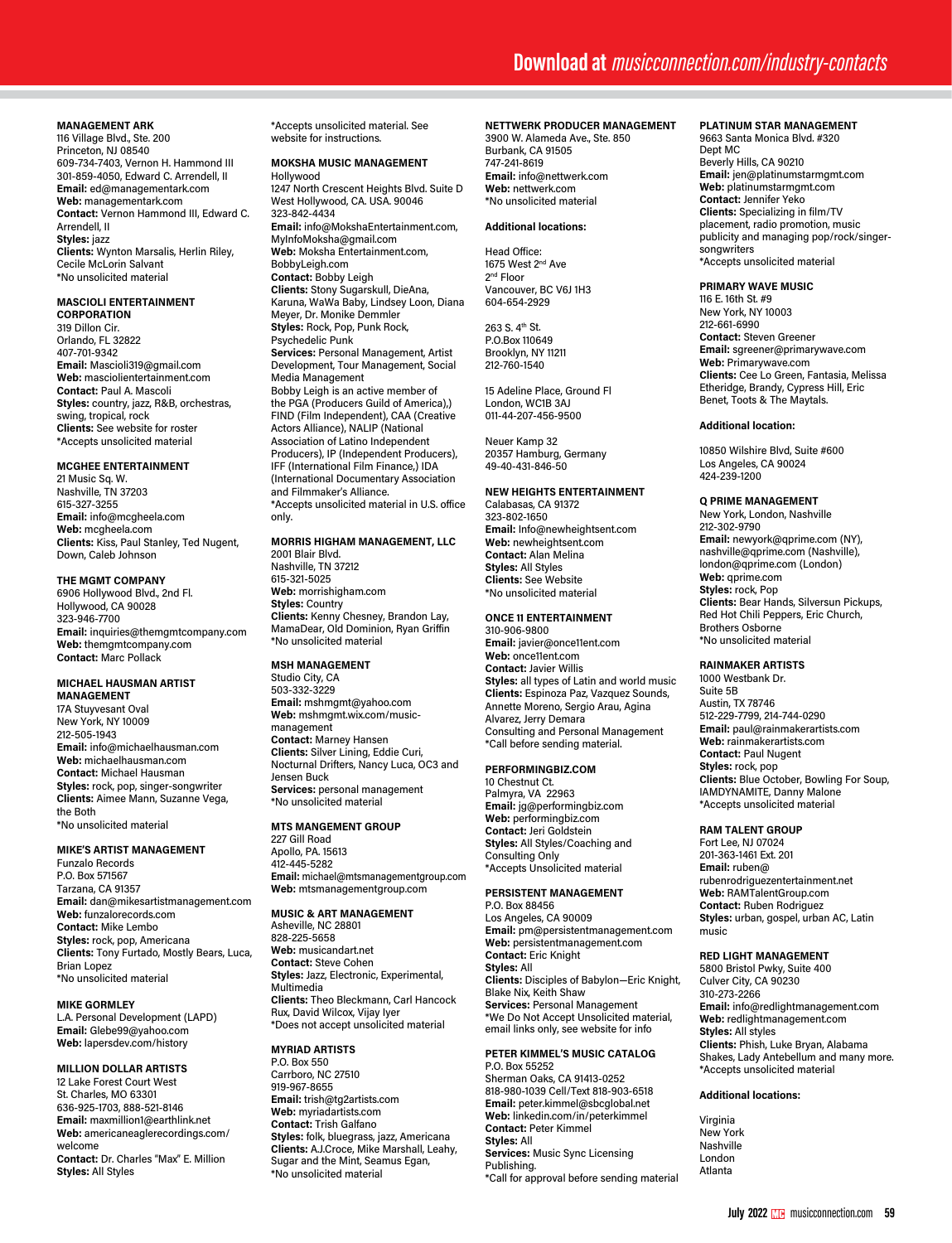# **MANAGEMENT ARK**

116 Village Blvd., Ste. 200 Princeton, NJ 08540 609-734-7403, Vernon H. Hammond III 301-859-4050, Edward C. Arrendell, II **Email:** ed@managementark.com **Web:** managementark.com **Contact:** Vernon Hammond III, Edward C. Arrendell, II **Styles:** jazz **Clients:** Wynton Marsalis, Herlin Riley, Cecile McLorin Salvant \*No unsolicited material

#### **MASCIOLI ENTERTAINMENT CORPORATION**

319 Dillon Cir. Orlando, FL 32822 407-701-9342 **Email:** Mascioli319@gmail.com **Web:** masciolientertainment.com **Contact:** Paul A. Mascoli **Styles:** country, jazz, R&B, orchestras, swing, tropical, rock **Clients:** See website for roster \*Accepts unsolicited material

# **MCGHEE ENTERTAINMENT**

21 Music Sq. W. Nashville, TN 37203 615-327-3255 **Email:** info@mcgheela.com **Web:** mcgheela.com **Clients:** Kiss, Paul Stanley, Ted Nugent, Down, Caleb Johnson

## **THE MGMT COMPANY**

6906 Hollywood Blvd., 2nd Fl. Hollywood, CA 90028 323-946-7700 **Email:** inquiries@themgmtcompany.com **Web:** themgmtcompany.com **Contact:** Marc Pollack

#### **MICHAEL HAUSMAN ARTIST MANAGEMENT**

17A Stuyvesant Oval New York, NY 10009 212-505-1943 **Email:** info@michaelhausman.com **Web:** michaelhausman.com **Contact:** Michael Hausman **Styles:** rock, pop, singer-songwriter **Clients:** Aimee Mann, Suzanne Vega, the Both \*No unsolicited material

# **MIKE'S ARTIST MANAGEMENT**

Funzalo Records P.O. Box 571567 Tarzana, CA 91357 **Email:** dan@mikesartistmanagement.com **Web:** funzalorecords.com **Contact:** Mike Lembo **Styles:** rock, pop, Americana **Clients:** Tony Furtado, Mostly Bears, Luca, Brian Lopez \*No unsolicited material

# **MIKE GORMLEY**

L.A. Personal Development (LAPD) **Email:** Glebe99@yahoo.com **Web:** lapersdev.com/history

# **MILLION DOLLAR ARTISTS**

12 Lake Forest Court West St. Charles, MO 63301 636-925-1703, 888-521-8146 **Email:** maxmillion1@earthlink.net **Web:** americaneaglerecordings.com/ welcome **Contact:** Dr. Charles "Max" E. Million **Styles:** All Styles

\*Accepts unsolicited material. See website for instructions.

#### **MOKSHA MUSIC MANAGEMENT** Hollywood

1247 North Crescent Heights Blvd. Suite D West Hollywood, CA. USA. 90046 323-842-4434 **Email:** info@MokshaEntertainment.com, MyInfoMoksha@gmail.com **Web:** Moksha Entertainment.com, BobbyLeigh.com **Contact:** Bobby Leigh **Clients:** Stony Sugarskull, DieAna, Karuna, WaWa Baby, Lindsey Loon, Diana Meyer, Dr. Monike Demmler **Styles:** Rock, Pop, Punk Rock, Psychedelic Punk **Services:** Personal Management, Artist Development, Tour Management, Social Media Management Bobby Leigh is an active member of the PGA (Producers Guild of America),) FIND (Film Independent), CAA (Creative Actors Alliance), NALIP (National Association of Latino Independent Producers), IP (Independent Producers), IFF (International Film Finance,) IDA (International Documentary Association and Filmmaker's Alliance. \*Accepts unsolicited material in U.S. office only.

# **MORRIS HIGHAM MANAGEMENT, LLC**

2001 Blair Blvd. Nashville, TN 37212 615-321-5025 **Web:** morrishigham.com **Styles:** Country **Clients:** Kenny Chesney, Brandon Lay, MamaDear, Old Dominion, Ryan Griffin \*No unsolicited material

# **MSH MANAGEMENT**

Studio City, CA 503-332-3229 **Email:** mshmgmt@yahoo.com **Web:** mshmgmt.wix.com/musicmanagement **Contact:** Marney Hansen **Clients:** Silver Lining, Eddie Curi, Nocturnal Drifters, Nancy Luca, OC3 and Jensen Buck **Services:** personal management \*No unsolicited material

# **MTS MANGEMENT GROUP**

227 Gill Road Apollo, PA. 15613 412-445-5282 **Email:** michael@mtsmanagementgroup.com **Web:** mtsmanagementgroup.com

# **MUSIC & ART MANAGEMENT**

Asheville, NC 28801 828-225-5658 **Web:** musicandart.net **Contact:** Steve Cohen **Styles:** Jazz, Electronic, Experimental, Multimedia **Clients:** Theo Bleckmann, Carl Hancock Rux, David Wilcox, Vijay Iyer \*Does not accept unsolicited material

#### **MYRIAD ARTISTS** P.O. Box 550

Carrboro, NC 27510 919-967-8655 **Email:** trish@tg2artists.com **Web:** myriadartists.com **Contact:** Trish Galfano **Styles:** folk, bluegrass, jazz, Americana **Clients:** A.J.Croce, Mike Marshall, Leahy, Sugar and the Mint, Seamus Egan, \*No unsolicited material

# **NETTWERK PRODUCER MANAGEMENT**

3900 W. Alameda Ave., Ste. 850 Burbank, CA 91505 747-241-8619 **Email:** info@nettwerk.com **Web:** nettwerk.com \*No unsolicited material

#### **Additional locations:**

Head Office: 1675 West 2nd Ave 2nd Floor Vancouver, BC V6J 1H3 604-654-2929

263 S. 4th St. P.O.Box 110649 Brooklyn, NY 11211 212-760-1540

15 Adeline Place, Ground Fl London, WC1B 3AJ 011-44-207-456-9500

Neuer Kamp 32 20357 Hamburg, Germany 49-40-431-846-50

# **NEW HEIGHTS ENTERTAINMENT**

Calabasas, CA 91372 323-802-1650 **Email:** Info@newheightsent.com **Web:** newheightsent.com **Contact:** Alan Melina **Styles:** All Styles **Clients:** See Website \*No unsolicited material

# **ONCE 11 ENTERTAINMENT**

310-906-9800 **Email:** javier@once11ent.com **Web:** once11ent.com **Contact:** Javier Willis **Styles:** all types of Latin and world music **Clients:** Espinoza Paz, Vazquez Sounds, Annette Moreno, Sergio Arau, Agina Alvarez, Jerry Demara Consulting and Personal Management \*Call before sending material.

# **PERFORMINGBIZ.COM**

10 Chestnut Ct. Palmyra, VA 22963 **Email:** jg@performingbiz.com **Web:** performingbiz.com **Contact:** Jeri Goldstein **Styles:** All Styles/Coaching and Consulting Only \*Accepts Unsolicited material

# **PERSISTENT MANAGEMENT**

P.O. Box 88456 Los Angeles, CA 90009 **Email:** pm@persistentmanagement.com **Web:** persistentmanagement.com **Contact:** Eric Knight **Styles:** All **Clients:** Disciples of Babylon—Eric Knight, Blake Nix, Keith Shaw **Services:** Personal Management \*We Do Not Accept Unsolicited material, email links only, see website for info

#### **PETER KIMMEL'S MUSIC CATALOG** P.O. Box 55252

Sherman Oaks, CA 91413-0252 818-980-1039 Cell/Text 818-903-6518 **Email:** peter.kimmel@sbcglobal.net **Web:** linkedin.com/in/peterkimmel **Contact:** Peter Kimmel **Styles:** All **Services:** Music Sync Licensing Publishing. \*Call for approval before sending material

# **PLATINUM STAR MANAGEMENT**

9663 Santa Monica Blvd. #320 Dept MC Beverly Hills, CA 90210 **Email:** jen@platinumstarmgmt.com **Web:** platinumstarmgmt.com **Contact:** Jennifer Yeko **Clients:** Specializing in film/TV placement, radio promotion, music publicity and managing pop/rock/singersongwriters \*Accepts unsolicited material

## **PRIMARY WAVE MUSIC**

116 E. 16th St. #9 New York, NY 10003 212-661-6990 **Contact:** Steven Greener **Email:** sgreener@primarywave.com **Web:** Primarywave.com **Clients:** Cee Lo Green, Fantasia, Melissa Etheridge, Brandy, Cypress Hill, Eric Benet, Toots & The Maytals.

#### **Additional location:**

10850 Wilshire Blvd, Suite #600 Los Angeles, CA 90024 424-239-1200

#### **Q PRIME MANAGEMENT**

New York, London, Nashville 212-302-9790 **Email:** newyork@qprime.com (NY), nashville@qprime.com (Nashville), london@qprime.com (London) **Web:** qprime.com **Styles:** rock, Pop **Clients:** Bear Hands, Silversun Pickups, Red Hot Chili Peppers, Eric Church, Brothers Osborne \*No unsolicited material

#### **RAINMAKER ARTISTS**

1000 Westbank Dr. Suite 5B Austin, TX 78746 512-229-7799, 214-744-0290 **Email:** paul@rainmakerartists.com **Web:** rainmakerartists.com **Contact:** Paul Nugent **Styles:** rock, pop **Clients:** Blue October, Bowling For Soup, IAMDYNAMITE, Danny Malone \*Accepts unsolicited material

# **RAM TALENT GROUP**

Fort Lee, NJ 07024 201-363-1461 Ext. 201 **Email:** ruben@ rubenrodriguezentertainment.net **Web:** RAMTalentGroup.com **Contact:** Ruben Rodriguez **Styles:** urban, gospel, urban AC, Latin music

#### **RED LIGHT MANAGEMENT**

5800 Bristol Pwky, Suite 400 Culver City, CA 90230 310-273-2266 **Email:** info@redlightmanagement.com **Web:** redlightmanagement.com **Styles:** All styles **Clients:** Phish, Luke Bryan, Alabama Shakes, Lady Antebellum and many more. \*Accepts unsolicited material

# **Additional locations:**

Virginia New York Nashville London Atlanta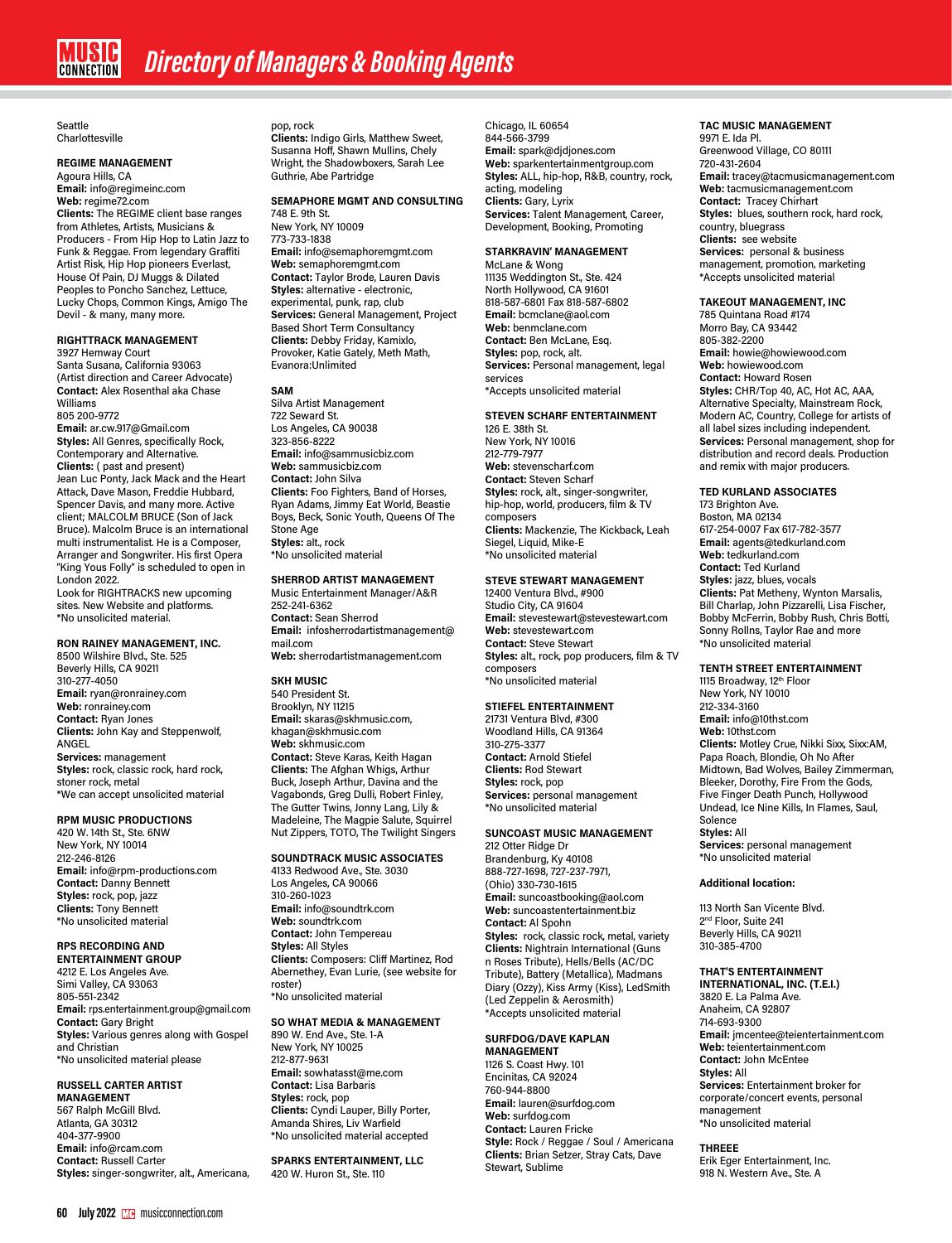Seattle Charlottesville

# **REGIME MANAGEMENT**

Agoura Hills, CA **Email:** info@regimeinc.com **Web:** regime72.com **Clients:** The REGIME client base ranges from Athletes, Artists, Musicians & Producers - From Hip Hop to Latin Jazz to Funk & Reggae. From legendary Graffiti Artist Risk, Hip Hop pioneers Everlast, House Of Pain, DJ Muggs & Dilated Peoples to Poncho Sanchez, Lettuce, Lucky Chops, Common Kings, Amigo The Devil - & many, many more.

## **RIGHTTRACK MANAGEMENT**

3927 Hemway Court Santa Susana, California 93063 (Artist direction and Career Advocate) **Contact:** Alex Rosenthal aka Chase Williams

805 200-9772 **Email:** ar.cw.917@Gmail.com **Styles:** All Genres, specifically Rock, Contemporary and Alternative. **Clients:** ( past and present) Jean Luc Ponty, Jack Mack and the Heart Attack, Dave Mason, Freddie Hubbard, Spencer Davis, and many more. Active client; MALCOLM BRUCE (Son of Jack Bruce). Malcolm Bruce is an international multi instrumentalist. He is a Composer, Arranger and Songwriter. His first Opera "King Yous Folly" is scheduled to open in London 2022.

Look for RIGHTRACKS new upcoming sites. New Website and platforms. \*No unsolicited material.

# **RON RAINEY MANAGEMENT, INC.**

8500 Wilshire Blvd., Ste. 525 Beverly Hills, CA 90211 310-277-4050 **Email:** ryan@ronrainey.com **Web:** ronrainey.com **Contact:** Ryan Jones **Clients:** John Kay and Steppenwolf, ANGEL **Services:** management **Styles:** rock, classic rock, hard rock, stoner rock, metal \*We can accept unsolicited material

# **RPM MUSIC PRODUCTIONS**

420 W. 14th St., Ste. 6NW New York, NY 10014 212-246-8126 **Email:** info@rpm-productions.com **Contact:** Danny Bennett **Styles:** rock, pop, jazz **Clients:** Tony Bennett \*No unsolicited material

# **RPS RECORDING AND**

**ENTERTAINMENT GROUP** 4212 E. Los Angeles Ave. Simi Valley, CA 93063 805-551-2342 **Email:** rps.entertainment.group@gmail.com **Contact:** Gary Bright **Styles:** Various genres along with Gospel and Christian \*No unsolicited material please

# **RUSSELL CARTER ARTIST**

**MANAGEMENT** 567 Ralph McGill Blvd. Atlanta, GA 30312 404-377-9900 **Email:** info@rcam.com **Contact:** Russell Carter **Styles:** singer-songwriter, alt., Americana, pop, rock **Clients:** Indigo Girls, Matthew Sweet, Susanna Hoff, Shawn Mullins, Chely Wright, the Shadowboxers, Sarah Lee Guthrie, Abe Partridge

#### **SEMAPHORE MGMT AND CONSULTING**

748 E. 9th St. New York, NY 10009 773-733-1838 **Email:** info@semaphoremgmt.com **Web:** semaphoremgmt.com **Contact:** Taylor Brode, Lauren Davis **Styles:** alternative - electronic, experimental, punk, rap, club **Services:** General Management, Project Based Short Term Consultancy **Clients:** Debby Friday, Kamixlo, Provoker, Katie Gately, Meth Math, Evanora:Unlimited

# **SAM**

Silva Artist Management 722 Seward St. Los Angeles, CA 90038 323-856-8222 **Email:** info@sammusicbiz.com **Web:** sammusicbiz.com **Contact:** John Silva **Clients:** Foo Fighters, Band of Horses, Ryan Adams, Jimmy Eat World, Beastie Boys, Beck, Sonic Youth, Queens Of The Stone Age **Styles:** alt., rock \*No unsolicited material

#### **SHERROD ARTIST MANAGEMENT**

Music Entertainment Manager/A&R 252-241-6362 **Contact:** Sean Sherrod **Email:** infosherrodartistmanagement@ mail.com **Web:** sherrodartistmanagement.com

#### **SKH MUSIC**

540 President St. Brooklyn, NY 11215 **Email:** skaras@skhmusic.com, khagan@skhmusic.com **Web:** skhmusic.com **Contact:** Steve Karas, Keith Hagan **Clients:** The Afghan Whigs, Arthur Buck, Joseph Arthur, Davina and the Vagabonds, Greg Dulli, Robert Finley, The Gutter Twins, Jonny Lang, Lily & Madeleine, The Magpie Salute, Squirrel Nut Zippers, TOTO, The Twilight Singers

# **SOUNDTRACK MUSIC ASSOCIATES**

4133 Redwood Ave., Ste. 3030 Los Angeles, CA 90066 310-260-1023 **Email:** info@soundtrk.com **Web:** soundtrk.com **Contact:** John Tempereau **Styles:** All Styles **Clients:** Composers: Cliff Martinez, Rod Abernethey, Evan Lurie, (see website for roster) \*No unsolicited material

#### **SO WHAT MEDIA & MANAGEMENT**

890 W. End Ave., Ste. 1-A New York, NY 10025 212-877-9631 **Email:** sowhatasst@me.com **Contact:** Lisa Barbaris **Styles:** rock, pop **Clients:** Cyndi Lauper, Billy Porter, Amanda Shires, Liv Warfield \*No unsolicited material accepted

# **SPARKS ENTERTAINMENT, LLC**

420 W. Huron St., Ste. 110

Chicago, IL 60654 844-566-3799 **Email:** spark@djdjones.com **Web:** sparkentertainmentgroup.com **Styles:** ALL, hip-hop, R&B, country, rock, acting, modeling **Clients:** Gary, Lyrix **Services:** Talent Management, Career, Development, Booking, Promoting

#### **STARKRAVIN' MANAGEMENT**

McLane & Wong 11135 Weddington St., Ste. 424 North Hollywood, CA 91601 818-587-6801 Fax 818-587-6802 **Email:** bcmclane@aol.com **Web:** benmclane.com **Contact:** Ben McLane, Esq. **Styles:** pop, rock, alt. **Services:** Personal management, legal services \*Accepts unsolicited material

#### **STEVEN SCHARF ENTERTAINMENT** 126 E. 38th St.

New York, NY 10016 212-779-7977 **Web:** stevenscharf.com **Contact:** Steven Scharf **Styles:** rock, alt., singer-songwriter, hip-hop, world, producers, film & TV composers **Clients:** Mackenzie, The Kickback, Leah Siegel, Liquid, Mike-E \*No unsolicited material

# **STEVE STEWART MANAGEMENT**

12400 Ventura Blvd., #900 Studio City, CA 91604 **Email:** stevestewart@stevestewart.com **Web:** stevestewart.com **Contact:** Steve Stewart **Styles:** alt., rock, pop producers, film & TV composers \*No unsolicited material

# **STIEFEL ENTERTAINMENT**

21731 Ventura Blvd, #300 Woodland Hills, CA 91364 310-275-3377 **Contact:** Arnold Stiefel **Clients:** Rod Stewart **Styles:** rock, pop **Services:** personal management \*No unsolicited material

# **SUNCOAST MUSIC MANAGEMENT**

212 Otter Ridge Dr Brandenburg, Ky 40108 888-727-1698, 727-237-7971, (Ohio) 330-730-1615 **Email:** suncoastbooking@aol.com **Web:** suncoastentertainment.biz **Contact:** Al Spohn **Styles:**  rock, classic rock, metal, variety **Clients:** Nightrain International (Guns n Roses Tribute), Hells/Bells (AC/DC Tribute), Battery (Metallica), Madmans Diary (Ozzy), Kiss Army (Kiss), LedSmith (Led Zeppelin & Aerosmith) \*Accepts unsolicited material

#### **SURFDOG/DAVE KAPLAN MANAGEMENT**

1126 S. Coast Hwy. 101 Encinitas, CA 92024 760-944-8800 **Email:** lauren@surfdog.com **Web:** surfdog.com **Contact:** Lauren Fricke **Style:** Rock / Reggae / Soul / Americana **Clients:** Brian Setzer, Stray Cats, Dave Stewart, Sublime

# **TAC MUSIC MANAGEMENT**

9971 E. Ida Pl. Greenwood Village, CO 80111 720-431-2604 **Email:** tracey@tacmusicmanagement.com **Web:** tacmusicmanagement.com **Contact:** Tracey Chirhart **Styles:** blues, southern rock, hard rock, country, bluegrass **Clients:** see website **Services:** personal & business management, promotion, marketing \*Accepts unsolicited material

#### **TAKEOUT MANAGEMENT, INC**

785 Quintana Road #174 Morro Bay, CA 93442 805-382-2200 **Email:** howie@howiewood.com **Web:** howiewood.com **Contact:** Howard Rosen **Styles:** CHR/Top 40, AC, Hot AC, AAA, Alternative Specialty, Mainstream Rock, Modern AC, Country, College for artists of all label sizes including independent. **Services:** Personal management, shop for distribution and record deals. Production and remix with major producers.

# **TED KURLAND ASSOCIATES**

173 Brighton Ave. Boston, MA 02134 617-254-0007 Fax 617-782-3577 **Email:** agents@tedkurland.com **Web:** tedkurland.com **Contact:** Ted Kurland **Styles:** jazz, blues, vocals **Clients:** Pat Metheny, Wynton Marsalis, Bill Charlap, John Pizzarelli, Lisa Fischer, Bobby McFerrin, Bobby Rush, Chris Botti, Sonny Rollns, Taylor Rae and more \*No unsolicited material

#### **TENTH STREET ENTERTAINMENT**

1115 Broadway, 12th Floor<br>New York, NY 10010 212-334-3160 **Email:** info@10thst.com **Web:** 10thst.com **Clients:** Motley Crue, Nikki Sixx, Sixx:AM, Papa Roach, Blondie, Oh No After Midtown, Bad Wolves, Bailey Zimmerman, Bleeker, Dorothy, Fire From the Gods, Five Finger Death Punch, Hollywood Undead, Ice Nine Kills, In Flames, Saul, Solence **Styles:** All **Services:** personal management \*No unsolicited material

#### **Additional location:**

113 North San Vicente Blvd. 2<sup>nd</sup> Floor, Suite 241 Beverly Hills, CA 90211 310-385-4700

#### **THAT'S ENTERTAINMENT**

**INTERNATIONAL, INC. (T.E.I.)** 3820 E. La Palma Ave. Anaheim, CA 92807 714-693-9300 **Email:** jmcentee@teientertainment.com **Web:** teientertainment.com **Contact:** John McEntee **Styles:** All **Services:** Entertainment broker for corporate/concert events, personal management \*No unsolicited material

# **THREEE**

Erik Eger Entertainment, Inc. 918 N. Western Ave., Ste. A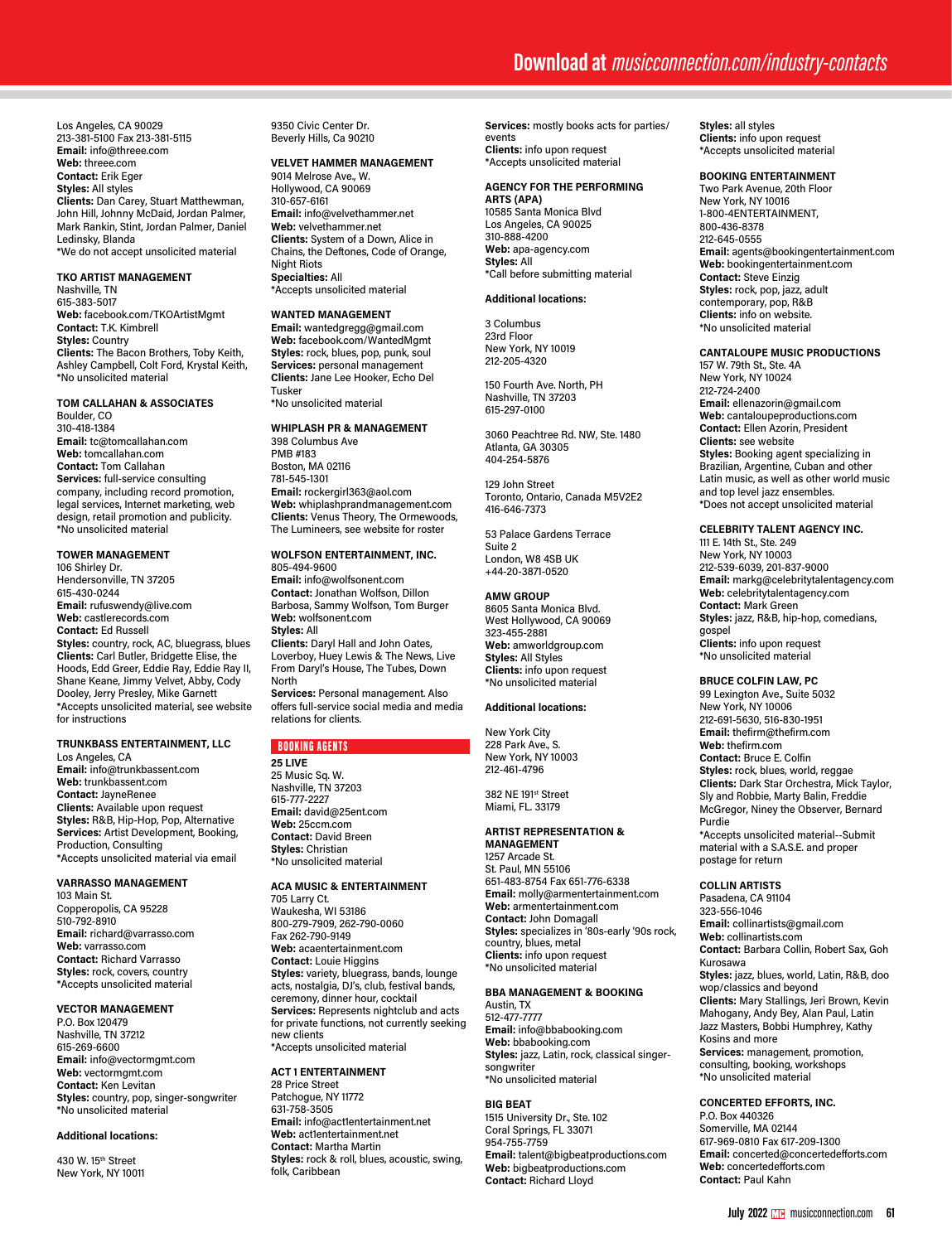Los Angeles, CA 90029 213-381-5100 Fax 213-381-5115 **Email:** info@threee.com **Web:** threee.com **Contact:** Erik Eger **Styles:** All styles **Clients:** Dan Carey, Stuart Matthewman, John Hill, Johnny McDaid, Jordan Palmer, Mark Rankin, Stint, Jordan Palmer, Daniel Ledinsky, Blanda \*We do not accept unsolicited material

#### **TKO ARTIST MANAGEMENT**

Nashville, TN 615-383-5017 **Web:** facebook.com/TKOArtistMgmt **Contact:** T.K. Kimbrell **Styles:** Country **Clients:** The Bacon Brothers, Toby Keith, Ashley Campbell, Colt Ford, Krystal Keith, \*No unsolicited material

# **TOM CALLAHAN & ASSOCIATES**

Boulder, CO 310-418-1384 **Email:** tc@tomcallahan.com **Web:** tomcallahan.com **Contact:** Tom Callahan **Services:** full-service consulting company, including record promotion, legal services, Internet marketing, web design, retail promotion and publicity. \*No unsolicited material

# **TOWER MANAGEMENT**

106 Shirley Dr. Hendersonville, TN 37205 615-430-0244 **Email:** rufuswendy@live.com **Web:** castlerecords.com **Contact:** Ed Russell **Styles:** country, rock, AC, bluegrass, blues **Clients:** Carl Butler, Bridgette Elise, the Hoods, Edd Greer, Eddie Ray, Eddie Ray II, Shane Keane, Jimmy Velvet, Abby, Cody Dooley, Jerry Presley, Mike Garnett \*Accepts unsolicited material, see website for instructions

#### **TRUNKBASS ENTERTAINMENT, LLC**

Los Angeles, CA **Email:** info@trunkbassent.com **Web:** trunkbassent.com **Contact:** JayneRenee **Clients:** Available upon request **Styles:** R&B, Hip-Hop, Pop, Alternative **Services:** Artist Development, Booking, Production, Consulting \*Accepts unsolicited material via email

# **VARRASSO MANAGEMENT**

103 Main St. Copperopolis, CA 95228 510-792-8910 **Email:** richard@varrasso.com **Web:** varrasso.com **Contact:** Richard Varrasso **Styles:** rock, covers, country \*Accepts unsolicited material

## **VECTOR MANAGEMENT**

P.O. Box 120479 Nashville, TN 37212 615-269-6600 **Email:** info@vectormgmt.com **Web:** vectormgmt.com **Contact:** Ken Levitan **Styles:** country, pop, singer-songwriter \*No unsolicited material

# **Additional locations:**

430 W. 15<sup>th</sup> Street New York, NY 10011 9350 Civic Center Dr. Beverly Hills, Ca 90210

# **VELVET HAMMER MANAGEMENT**

9014 Melrose Ave., W. Hollywood, CA 90069 310-657-6161 **Email:** info@velvethammer.net **Web:** velvethammer.net **Clients:** System of a Down, Alice in Chains, the Deftones, Code of Orange, Night Riots **Specialties:** All \*Accepts unsolicited material

#### **WANTED MANAGEMENT**

**Email:** wantedgregg@gmail.com **Web:** facebook.com/WantedMgmt **Styles:** rock, blues, pop, punk, soul **Services:** personal management **Clients:** Jane Lee Hooker, Echo Del Tusker

\*No unsolicited material

#### **WHIPLASH PR & MANAGEMENT**  398 Columbus Ave PMB #183 Boston, MA 02116

781-545-1301 **Email:** rockergirl363@aol.com **Web:** whiplashprandmanagement.com **Clients:** Venus Theory, The Ormewoods, The Lumineers, see website for roster

#### **WOLFSON ENTERTAINMENT, INC.** 805-494-9600

**Email:** info@wolfsonent.com **Contact:** Jonathan Wolfson, Dillon Barbosa, Sammy Wolfson, Tom Burger **Web:** wolfsonent.com **Styles:** All **Clients:** Daryl Hall and John Oates, Loverboy, Huey Lewis & The News, Live From Daryl's House, The Tubes, Down North **Services:** Personal management. Also offers full-service social media and media

# BOOKING AGENTS

relations for clients.

**25 LIVE**  25 Music Sq. W. Nashville, TN 37203 615-777-2227 **Email:** david@25ent.com **Web:** 25ccm.com **Contact:** David Breen **Styles:** Christian \*No unsolicited material

# **ACA MUSIC & ENTERTAINMENT**

705 Larry Ct. Waukesha, WI 53186 800-279-7909, 262-790-0060 Fax 262-790-9149 **Web:** acaentertainment.com **Contact:** Louie Higgins **Styles:** variety, bluegrass, bands, lounge acts, nostalgia, DJ's, club, festival bands, ceremony, dinner hour, cocktail **Services:** Represents nightclub and acts for private functions, not currently seeking new clients \*Accepts unsolicited material

#### **ACT 1 ENTERTAINMENT**

28 Price Street Patchogue, NY 11772 631-758-3505 **Email:** info@act1entertainment.net **Web:** act1entertainment.net **Contact:** Martha Martin **Styles:** rock & roll, blues, acoustic, swing, folk, Caribbean

**Services:** mostly books acts for parties/ events **Clients:** info upon request \*Accepts unsolicited material

#### **AGENCY FOR THE PERFORMING**

**ARTS (APA)** 10585 Santa Monica Blvd Los Angeles, CA 90025 310-888-4200 **Web:** apa-agency.com **Styles:** All \*Call before submitting material

## **Additional locations:**

3 Columbus 23rd Floor New York, NY 10019 212-205-4320

150 Fourth Ave. North, PH Nashville, TN 37203 615-297-0100

3060 Peachtree Rd. NW, Ste. 1480 Atlanta, GA 30305 404-254-5876

129 John Street Toronto, Ontario, Canada M5V2E2 416-646-7373

53 Palace Gardens Terrace Suite 2 London, W8 4SB UK +44-20-3871-0520

#### **AMW GROUP**

8605 Santa Monica Blvd. West Hollywood, CA 90069 323-455-2881 **Web:** amworldgroup.com **Styles:** All Styles **Clients:** info upon request \*No unsolicited material

#### **Additional locations:**

New York City 228 Park Ave., S. New York, NY 10003 212-461-4796

382 NE 191st Street Miami, FL. 33179

#### **ARTIST REPRESENTATION & MANAGEMENT**

1257 Arcade St. St. Paul, MN 55106 651-483-8754 Fax 651-776-6338 **Email:** molly@armentertainment.com **Web:** armentertainment.com **Contact:** John Domagall **Styles:** specializes in '80s-early '90s rock, country, blues, metal **Clients:** info upon request \*No unsolicited material

# **BBA MANAGEMENT & BOOKING**

Austin, TX 512-477-7777 **Email:** info@bbabooking.com **Web:** bbabooking.com **Styles:** jazz, Latin, rock, classical singersongwriter \*No unsolicited material

#### **BIG BEAT**

1515 University Dr., Ste. 102 Coral Springs, FL 33071 954-755-7759 **Email:** talent@bigbeatproductions.com **Web:** bigbeatproductions.com **Contact:** Richard Lloyd

**Styles:** all styles **Clients:** info upon request \*Accepts unsolicited material

#### **BOOKING ENTERTAINMENT**

Two Park Avenue, 20th Floor New York, NY 10016 1-800-4ENTERTAINMENT, 800-436-8378 212-645-0555 **Email:** agents@bookingentertainment.com **Web:** bookingentertainment.com **Contact:** Steve Einzig **Styles:** rock, pop, jazz, adult contemporary, pop, R&B **Clients:** info on website. \*No unsolicited material

#### **CANTALOUPE MUSIC PRODUCTIONS**

157 W. 79th St., Ste. 4A New York, NY 10024 212-724-2400 **Email:** ellenazorin@gmail.com **Web:** cantaloupeproductions.com **Contact:** Ellen Azorin, President **Clients:** see website **Styles:** Booking agent specializing in Brazilian, Argentine, Cuban and other Latin music, as well as other world music and top level jazz ensembles. \*Does not accept unsolicited material

#### **CELEBRITY TALENT AGENCY INC.**

111 E. 14th St., Ste. 249 New York, NY 10003 212-539-6039, 201-837-9000 **Email:** markg@celebritytalentagency.com **Web:** celebritytalentagency.com **Contact:** Mark Green **Styles:** jazz, R&B, hip-hop, comedians, gospel **Clients:** info upon request \*No unsolicited material

# **BRUCE COLFIN LAW, PC**

99 Lexington Ave., Suite 5032 New York, NY 10006 212-691-5630, 516-830-1951 **Email:** thefirm@thefirm.com **Web:** thefirm.com **Contact:** Bruce E. Colfin **Styles:** rock, blues, world, reggae **Clients:** Dark Star Orchestra, Mick Taylor, Sly and Robbie, Marty Balin, Freddie McGregor, Niney the Observer, Bernard Purdie \*Accepts unsolicited material--Submit material with a S.A.S.E. and proper postage for return

#### **COLLIN ARTISTS**

Pasadena, CA 91104 323-556-1046 **Email:** collinartists@gmail.com **Web:** collinartists.com **Contact:** Barbara Collin, Robert Sax, Goh Kurosawa **Styles:** jazz, blues, world, Latin, R&B, doo wop/classics and beyond **Clients:** Mary Stallings, Jeri Brown, Kevin Mahogany, Andy Bey, Alan Paul, Latin Jazz Masters, Bobbi Humphrey, Kathy Kosins and more **Services:** management, promotion, consulting, booking, workshops \*No unsolicited material

# **CONCERTED EFFORTS, INC.**

P.O. Box 440326 Somerville, MA 02144 617-969-0810 Fax 617-209-1300 **Email:** concerted@concertedefforts.com **Web:** concertedefforts.com **Contact:** Paul Kahn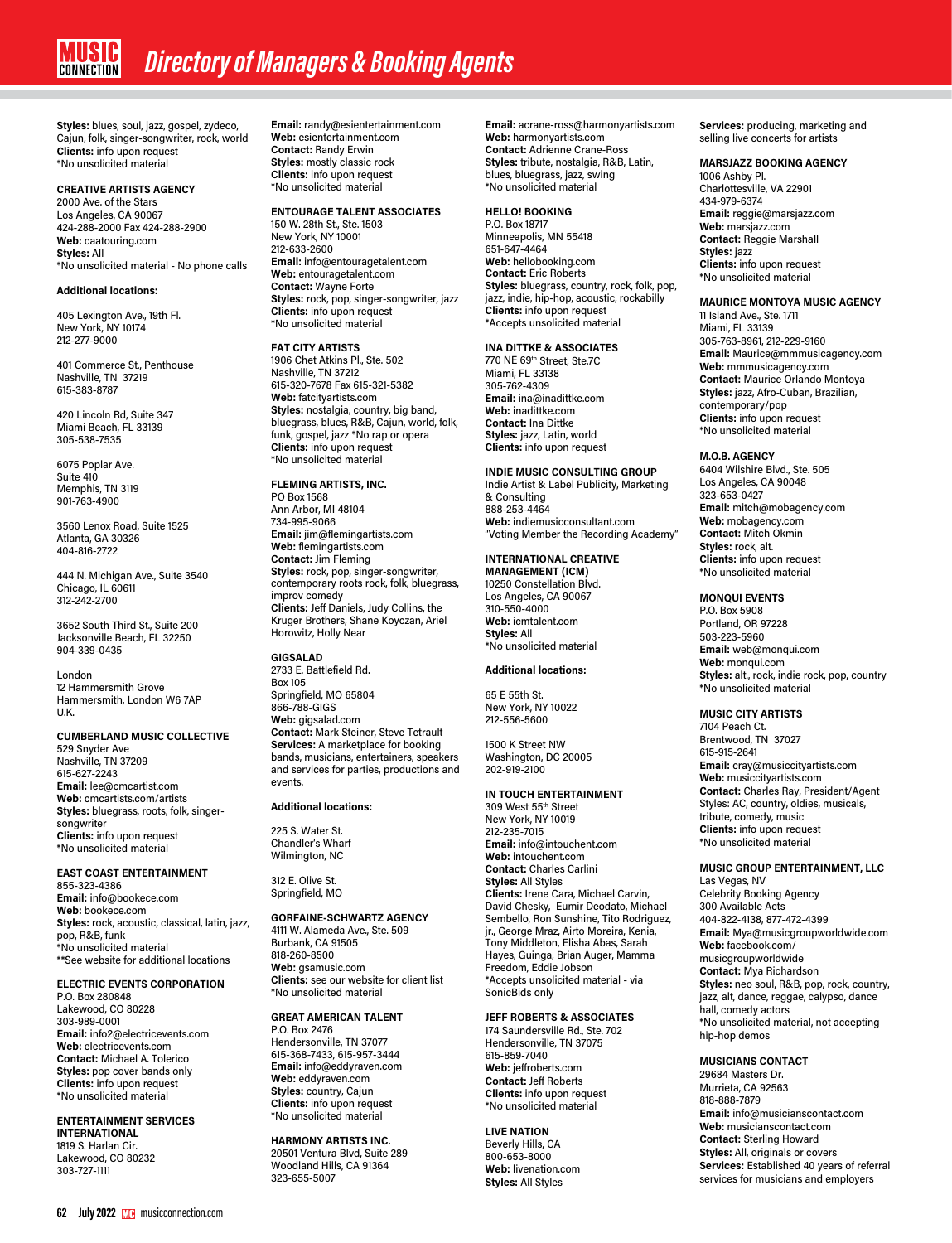**Styles:** blues, soul, jazz, gospel, zydeco, Cajun, folk, singer-songwriter, rock, world **Clients:** info upon request \*No unsolicited material

# **CREATIVE ARTISTS AGENCY**

2000 Ave. of the Stars Los Angeles, CA 90067 424-288-2000 Fax 424-288-2900 **Web:** caatouring.com **Styles:** All \*No unsolicited material - No phone calls

## **Additional locations:**

405 Lexington Ave., 19th Fl. New York, NY 10174 212-277-9000

401 Commerce St., Penthouse Nashville, TN 37219 615-383-8787

420 Lincoln Rd, Suite 347 Miami Beach, FL 33139 305-538-7535

6075 Poplar Ave. Suite 410 Memphis, TN 3119 901-763-4900

3560 Lenox Road, Suite 1525 Atlanta, GA 30326 404-816-2722

444 N. Michigan Ave., Suite 3540 Chicago, IL 60611 312-242-2700

3652 South Third St., Suite 200 Jacksonville Beach, FL 32250 904-339-0435

London 12 Hammersmith Grove Hammersmith, London W6 7AP U.K.

# **CUMBERLAND MUSIC COLLECTIVE**

529 Snyder Ave Nashville, TN 37209 615-627-2243 **Email:** lee@cmcartist.com **Web:** cmcartists.com/artists **Styles:** bluegrass, roots, folk, singersongwriter **Clients:** info upon request \*No unsolicited material

# **EAST COAST ENTERTAINMENT**

855-323-4386 **Email:** info@bookece.com **Web:** bookece.com **Styles:** rock, acoustic, classical, latin, jazz, pop, R&B, funk \*No unsolicited material \*\*See website for additional locations

#### **ELECTRIC EVENTS CORPORATION**

P.O. Box 280848 Lakewood, CO 80228 303-989-0001 **Email:** info2@electricevents.com **Web:** electricevents.com **Contact:** Michael A. Tolerico **Styles:** pop cover bands only **Clients:** info upon request \*No unsolicited material

#### **ENTERTAINMENT SERVICES INTERNATIONAL** 1819 S. Harlan Cir.

Lakewood, CO 80232 303-727-1111

**Email:** randy@esientertainment.com **Web:** esientertainment.com **Contact:** Randy Erwin **Styles:** mostly classic rock **Clients:** info upon request \*No unsolicited material

#### **ENTOURAGE TALENT ASSOCIATES** 150 W. 28th St., Ste. 1503

New York, NY 10001 212-633-2600 **Email:** info@entouragetalent.com **Web:** entouragetalent.com **Contact:** Wayne Forte **Styles:** rock, pop, singer-songwriter, jazz **Clients:** info upon request \*No unsolicited material

## **FAT CITY ARTISTS**

1906 Chet Atkins Pl., Ste. 502 Nashville, TN 37212 615-320-7678 Fax 615-321-5382 **Web:** fatcityartists.com **Styles:** nostalgia, country, big band, bluegrass, blues, R&B, Cajun, world, folk, funk, gospel, jazz \*No rap or opera **Clients:** info upon request \*No unsolicited material

## **FLEMING ARTISTS, INC.**

PO Box 1568 Ann Arbor, MI 48104 734-995-9066 **Email:** jim@flemingartists.com **Web:** flemingartists.com **Contact:** Jim Fleming **Styles:** rock, pop, singer-songwriter, contemporary roots rock, folk, bluegrass, improv comedy **Clients:** Jeff Daniels, Judy Collins, the Kruger Brothers, Shane Koyczan, Ariel Horowitz, Holly Near

# **GIGSALAD**

2733 E. Battlefield Rd. Box 105 Springfield, MO 65804 866-788-GIGS **Web:** gigsalad.com **Contact:** Mark Steiner, Steve Tetrault **Services:** A marketplace for booking bands, musicians, entertainers, speakers and services for parties, productions and events.

#### **Additional locations:**

225 S. Water St. Chandler's Wharf Wilmington, NC

312 E. Olive St. Springfield, MO

# **GORFAINE-SCHWARTZ AGENCY**

4111 W. Alameda Ave., Ste. 509 Burbank, CA 91505 818-260-8500 **Web:** gsamusic.com **Clients:** see our website for client list \*No unsolicited material

# **GREAT AMERICAN TALENT**

P.O. Box 2476 Hendersonville, TN 37077 615-368-7433, 615-957-3444 **Email:** info@eddyraven.com **Web:** eddyraven.com **Styles:** country, Cajun **Clients:** info upon request \*No unsolicited material

# **HARMONY ARTISTS INC.**

20501 Ventura Blvd, Suite 289 Woodland Hills, CA 91364 323-655-5007

**Email:** acrane-ross@harmonyartists.com **Web:** harmonyartists.com **Contact:** Adrienne Crane-Ross **Styles:** tribute, nostalgia, R&B, Latin, blues, bluegrass, jazz, swing \*No unsolicited material

# **HELLO! BOOKING**

P.O. Box 18717 Minneapolis, MN 55418 651-647-4464 **Web:** hellobooking.com **Contact:** Eric Roberts **Styles:** bluegrass, country, rock, folk, pop, jazz, indie, hip-hop, acoustic, rockabilly **Clients:** info upon request \*Accepts unsolicited material

# **INA DITTKE & ASSOCIATES**

770 NE 69th Street, Ste.7C Miami, FL 33138 305-762-4309 **Email:** ina@inadittke.com **Web:** inadittke.com **Contact:** Ina Dittke **Styles:** jazz, Latin, world **Clients:** info upon request

#### **INDIE MUSIC CONSULTING GROUP** Indie Artist & Label Publicity, Marketing

& Consulting 888-253-4464 **Web:** indiemusicconsultant.com "Voting Member the Recording Academy"

# **INTERNATIONAL CREATIVE**

**MANAGEMENT (ICM)** 10250 Constellation Blvd. Los Angeles, CA 90067 310-550-4000 **Web:** icmtalent.com **Styles:** All \*No unsolicited material

#### **Additional locations:**

65 E 55th St. New York, NY 10022 212-556-5600

1500 K Street NW Washington, DC 20005 202-919-2100

# **IN TOUCH ENTERTAINMENT**

309 West 55th Street New York, NY 10019 212-235-7015 **Email:** info@intouchent.com **Web:** intouchent.com **Contact:** Charles Carlini **Styles:** All Styles **Clients:** Irene Cara, Michael Carvin, David Chesky, Eumir Deodato, Michael Sembello, Ron Sunshine, Tito Rodriguez, jr., George Mraz, Airto Moreira, Kenia, Tony Middleton, Elisha Abas, Sarah Hayes, Guinga, Brian Auger, Mamma Freedom, Eddie Jobson \*Accepts unsolicited material - via SonicBids only

# **JEFF ROBERTS & ASSOCIATES**

174 Saundersville Rd., Ste. 702 Hendersonville, TN 37075 615-859-7040 **Web:** jeffroberts.com **Contact:** Jeff Roberts **Clients:** info upon request \*No unsolicited material

# **LIVE NATION**

Beverly Hills, CA 800-653-8000 **Web:** livenation.com **Styles:** All Styles

**Services:** producing, marketing and selling live concerts for artists

#### **MARSJAZZ BOOKING AGENCY**

1006 Ashby Pl. Charlottesville, VA 22901 434-979-6374 **Email:** reggie@marsjazz.com **Web:** marsjazz.com **Contact:** Reggie Marshall **Styles:** jazz **Clients:** info upon request \*No unsolicited material

## **MAURICE MONTOYA MUSIC AGENCY**

11 Island Ave., Ste. 1711 Miami, FL 33139 305-763-8961, 212-229-9160 **Email:** Maurice@mmmusicagency.com **Web:** mmmusicagency.com **Contact:** Maurice Orlando Montoya **Styles:** jazz, Afro-Cuban, Brazilian, contemporary/pop **Clients:** info upon request \*No unsolicited material

#### **M.O.B. AGENCY**

6404 Wilshire Blvd., Ste. 505 Los Angeles, CA 90048 323-653-0427 **Email:** mitch@mobagency.com **Web:** mobagency.com **Contact:** Mitch Okmin **Styles:** rock, alt. **Clients:** info upon request \*No unsolicited material

# **MONQUI EVENTS**

P.O. Box 5908 Portland, OR 97228 503-223-5960 **Email:** web@monqui.com **Web:** monqui.com **Styles:** alt., rock, indie rock, pop, country \*No unsolicited material

# **MUSIC CITY ARTISTS**

7104 Peach Ct. Brentwood, TN 37027 615-915-2641 **Email:** cray@musiccityartists.com **Web:** musiccityartists.com **Contact:** Charles Ray, President/Agent Styles: AC, country, oldies, musicals, tribute, comedy, music **Clients:** info upon request \*No unsolicited material

# **MUSIC GROUP ENTERTAINMENT, LLC**

Las Vegas, NV Celebrity Booking Agency 300 Available Acts 404-822-4138, 877-472-4399 **Email:** Mya@musicgroupworldwide.com **Web:** facebook.com/ musicgroupworldwide **Contact:** Mya Richardson **Styles:** neo soul, R&B, pop, rock, country, jazz, alt, dance, reggae, calypso, dance hall, comedy actors \*No unsolicited material, not accepting hip-hop demos

## **MUSICIANS CONTACT**

29684 Masters Dr. Murrieta, CA 92563 818-888-7879 **Email:** info@musicianscontact.com **Web:** musicianscontact.com **Contact:** Sterling Howard **Styles:** All, originals or covers **Services:** Established 40 years of referral services for musicians and employers